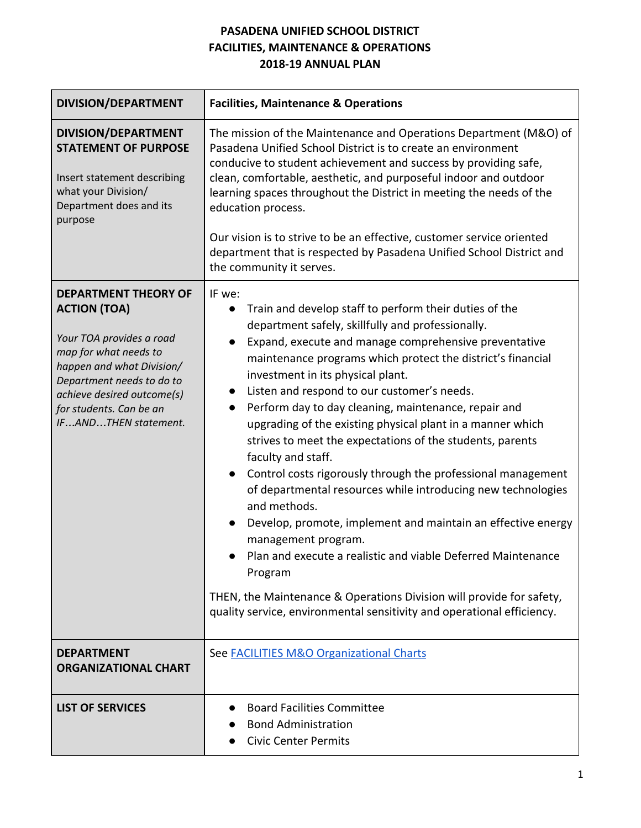#### **PASADENA UNIFIED SCHOOL DISTRICT FACILITIES, MAINTENANCE & OPERATIONS 2018-19 ANNUAL PLAN**

| DIVISION/DEPARTMENT                                                                                                                                                                                                                                | <b>Facilities, Maintenance &amp; Operations</b>                                                                                                                                                                                                                                                                                                                                                                                                                                                                                                                                                                                                                                                                                                                                                                                                                                                                                                                                                                                          |
|----------------------------------------------------------------------------------------------------------------------------------------------------------------------------------------------------------------------------------------------------|------------------------------------------------------------------------------------------------------------------------------------------------------------------------------------------------------------------------------------------------------------------------------------------------------------------------------------------------------------------------------------------------------------------------------------------------------------------------------------------------------------------------------------------------------------------------------------------------------------------------------------------------------------------------------------------------------------------------------------------------------------------------------------------------------------------------------------------------------------------------------------------------------------------------------------------------------------------------------------------------------------------------------------------|
| DIVISION/DEPARTMENT<br><b>STATEMENT OF PURPOSE</b><br>Insert statement describing<br>what your Division/<br>Department does and its<br>purpose                                                                                                     | The mission of the Maintenance and Operations Department (M&O) of<br>Pasadena Unified School District is to create an environment<br>conducive to student achievement and success by providing safe,<br>clean, comfortable, aesthetic, and purposeful indoor and outdoor<br>learning spaces throughout the District in meeting the needs of the<br>education process.<br>Our vision is to strive to be an effective, customer service oriented<br>department that is respected by Pasadena Unified School District and<br>the community it serves.                                                                                                                                                                                                                                                                                                                                                                                                                                                                                       |
| <b>DEPARTMENT THEORY OF</b><br><b>ACTION (TOA)</b><br>Your TOA provides a road<br>map for what needs to<br>happen and what Division/<br>Department needs to do to<br>achieve desired outcome(s)<br>for students. Can be an<br>IFANDTHEN statement. | IF we:<br>Train and develop staff to perform their duties of the<br>$\bullet$<br>department safely, skillfully and professionally.<br>Expand, execute and manage comprehensive preventative<br>maintenance programs which protect the district's financial<br>investment in its physical plant.<br>Listen and respond to our customer's needs.<br>Perform day to day cleaning, maintenance, repair and<br>$\bullet$<br>upgrading of the existing physical plant in a manner which<br>strives to meet the expectations of the students, parents<br>faculty and staff.<br>Control costs rigorously through the professional management<br>of departmental resources while introducing new technologies<br>and methods.<br>Develop, promote, implement and maintain an effective energy<br>management program.<br>Plan and execute a realistic and viable Deferred Maintenance<br>Program<br>THEN, the Maintenance & Operations Division will provide for safety,<br>quality service, environmental sensitivity and operational efficiency. |
| <b>DEPARTMENT</b><br><b>ORGANIZATIONAL CHART</b>                                                                                                                                                                                                   | See <b>FACILITIES M&amp;O Organizational Charts</b>                                                                                                                                                                                                                                                                                                                                                                                                                                                                                                                                                                                                                                                                                                                                                                                                                                                                                                                                                                                      |
| <b>LIST OF SERVICES</b>                                                                                                                                                                                                                            | <b>Board Facilities Committee</b><br><b>Bond Administration</b><br><b>Civic Center Permits</b>                                                                                                                                                                                                                                                                                                                                                                                                                                                                                                                                                                                                                                                                                                                                                                                                                                                                                                                                           |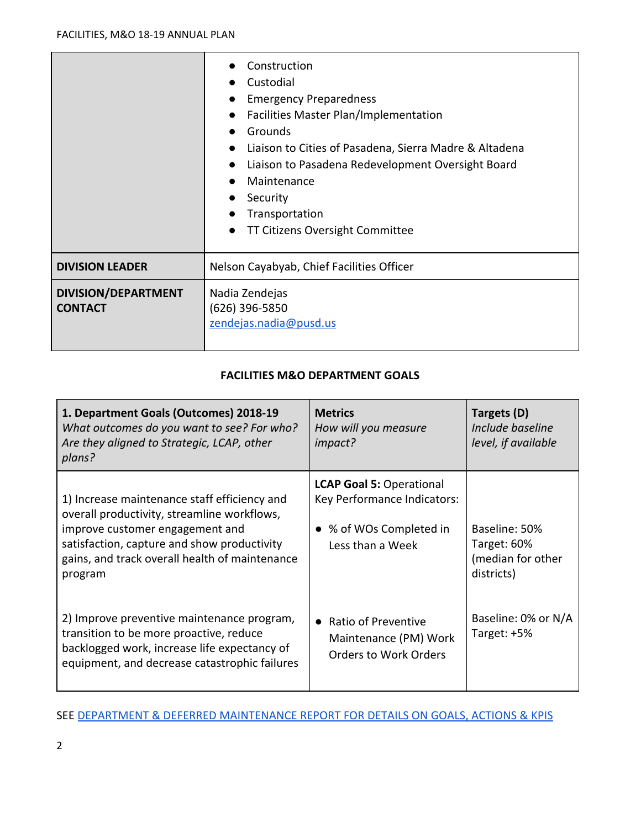|                                       | Construction<br>Custodial<br><b>Emergency Preparedness</b><br>Facilities Master Plan/Implementation<br>Grounds<br>$\bullet$<br>Liaison to Cities of Pasadena, Sierra Madre & Altadena<br>$\bullet$<br>Liaison to Pasadena Redevelopment Oversight Board<br>$\bullet$<br>Maintenance<br>$\bullet$<br>Security<br>$\bullet$<br>Transportation<br>TT Citizens Oversight Committee |
|---------------------------------------|--------------------------------------------------------------------------------------------------------------------------------------------------------------------------------------------------------------------------------------------------------------------------------------------------------------------------------------------------------------------------------|
| <b>DIVISION LEADER</b>                | Nelson Cayabyab, Chief Facilities Officer                                                                                                                                                                                                                                                                                                                                      |
| DIVISION/DEPARTMENT<br><b>CONTACT</b> | Nadia Zendejas<br>(626) 396-5850<br>zendejas.nadia@pusd.us                                                                                                                                                                                                                                                                                                                     |

#### **FACILITIES M&O DEPARTMENT GOALS**

| 1. Department Goals (Outcomes) 2018-19<br>What outcomes do you want to see? For who?<br>Are they aligned to Strategic, LCAP, other<br>plans?                                                                                               | <b>Metrics</b><br>How will you measure<br>impact?                                                             | Targets (D)<br>Include baseline<br>level, if available          |
|--------------------------------------------------------------------------------------------------------------------------------------------------------------------------------------------------------------------------------------------|---------------------------------------------------------------------------------------------------------------|-----------------------------------------------------------------|
| 1) Increase maintenance staff efficiency and<br>overall productivity, streamline workflows,<br>improve customer engagement and<br>satisfaction, capture and show productivity<br>gains, and track overall health of maintenance<br>program | <b>LCAP Goal 5: Operational</b><br>Key Performance Indicators:<br>• % of WOs Completed in<br>Less than a Week | Baseline: 50%<br>Target: 60%<br>(median for other<br>districts) |
| 2) Improve preventive maintenance program,<br>transition to be more proactive, reduce<br>backlogged work, increase life expectancy of<br>equipment, and decrease catastrophic failures                                                     | <b>Ratio of Preventive</b><br>$\bullet$<br>Maintenance (PM) Work<br><b>Orders to Work Orders</b>              | Baseline: 0% or N/A<br>Target: +5%                              |

#### SEE [DEPARTMENT & DEFERRED MAINTENANCE REPORT FOR DETAILS ON GOALS, ACTIONS & KPIS](https://drive.google.com/open?id=0B1MRnRuUlSYhd3BoOFVFcndTRzdRYnlfOUZNYnJKSVFKMTdn)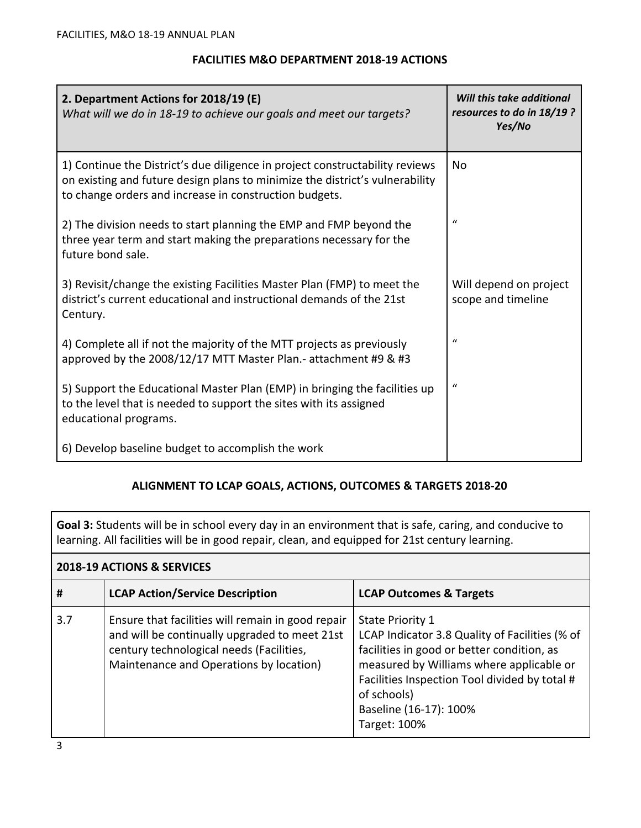#### **FACILITIES M&O DEPARTMENT 2018-19 ACTIONS**

| 2. Department Actions for 2018/19 (E)<br>What will we do in 18-19 to achieve our goals and meet our targets?                                                                                                           | Will this take additional<br>resources to do in 18/19 ?<br>Yes/No |
|------------------------------------------------------------------------------------------------------------------------------------------------------------------------------------------------------------------------|-------------------------------------------------------------------|
| 1) Continue the District's due diligence in project constructability reviews<br>on existing and future design plans to minimize the district's vulnerability<br>to change orders and increase in construction budgets. | No                                                                |
| 2) The division needs to start planning the EMP and FMP beyond the<br>three year term and start making the preparations necessary for the<br>future bond sale.                                                         | $\bf{u}$                                                          |
| 3) Revisit/change the existing Facilities Master Plan (FMP) to meet the<br>district's current educational and instructional demands of the 21st<br>Century.                                                            | Will depend on project<br>scope and timeline                      |
| 4) Complete all if not the majority of the MTT projects as previously<br>approved by the 2008/12/17 MTT Master Plan.- attachment #9 & #3                                                                               | $\mathcal{U}$                                                     |
| 5) Support the Educational Master Plan (EMP) in bringing the facilities up<br>to the level that is needed to support the sites with its assigned<br>educational programs.                                              | $\mathcal{U}$                                                     |
| 6) Develop baseline budget to accomplish the work                                                                                                                                                                      |                                                                   |

#### **ALIGNMENT TO LCAP GOALS, ACTIONS, OUTCOMES & TARGETS 2018-20**

**Goal 3:** Students will be in school every day in an environment that is safe, caring, and conducive to learning. All facilities will be in good repair, clean, and equipped for 21st century learning.

|     | 2018-19 ACTIONS & SERVICES                                                                                                                                                                |                                                                                                                                                                                                                                                                               |  |  |  |  |  |  |
|-----|-------------------------------------------------------------------------------------------------------------------------------------------------------------------------------------------|-------------------------------------------------------------------------------------------------------------------------------------------------------------------------------------------------------------------------------------------------------------------------------|--|--|--|--|--|--|
| #   | <b>LCAP Action/Service Description</b>                                                                                                                                                    | <b>LCAP Outcomes &amp; Targets</b>                                                                                                                                                                                                                                            |  |  |  |  |  |  |
| 3.7 | Ensure that facilities will remain in good repair<br>and will be continually upgraded to meet 21st<br>century technological needs (Facilities,<br>Maintenance and Operations by location) | <b>State Priority 1</b><br>LCAP Indicator 3.8 Quality of Facilities (% of<br>facilities in good or better condition, as<br>measured by Williams where applicable or<br>Facilities Inspection Tool divided by total #<br>of schools)<br>Baseline (16-17): 100%<br>Target: 100% |  |  |  |  |  |  |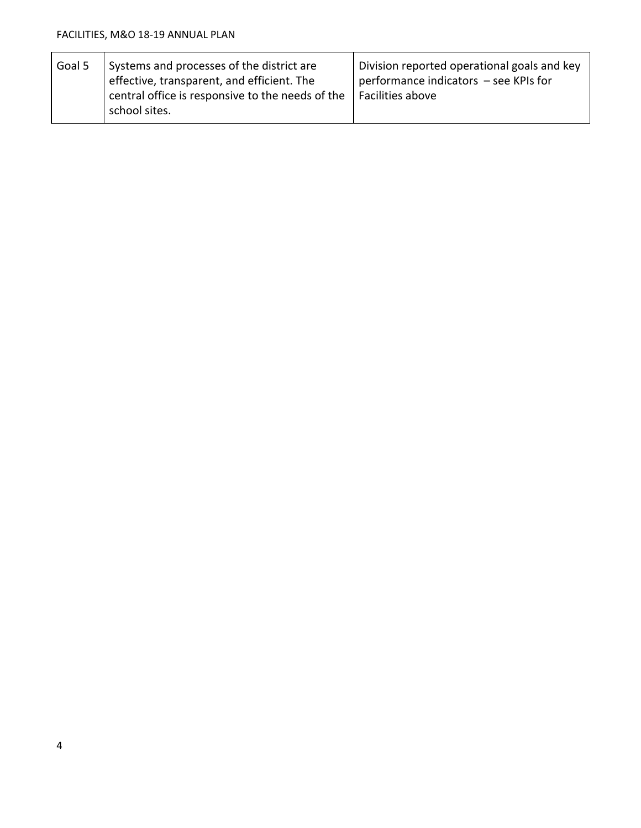| Goal 5 | Systems and processes of the district are<br>effective, transparent, and efficient. The<br>$\vert$ central office is responsive to the needs of the | Division reported operational goals and key<br>performance indicators - see KPIs for<br>Facilities above |
|--------|-----------------------------------------------------------------------------------------------------------------------------------------------------|----------------------------------------------------------------------------------------------------------|
|        | school sites.                                                                                                                                       |                                                                                                          |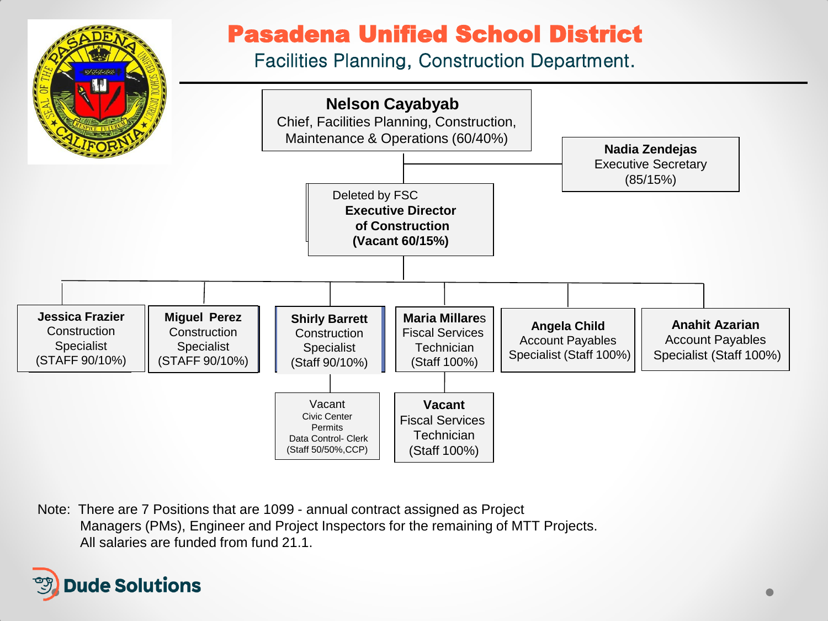

Note: There are 7 Positions that are 1099 - annual contract assigned as Project Managers (PMs), Engineer and Project Inspectors for the remaining of MTT Projects. All salaries are funded from fund 21.1.

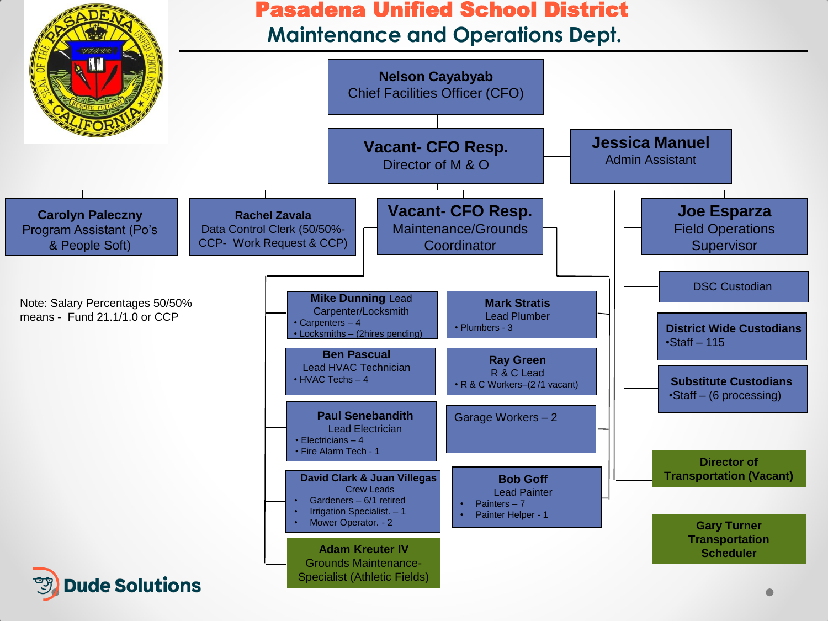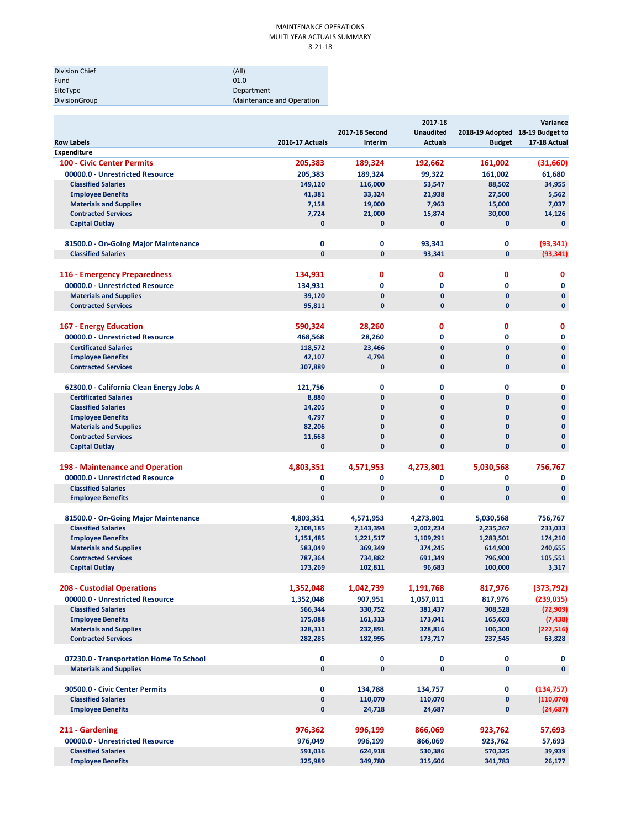#### MAINTENANCE OPERATIONS MULTI YEAR ACTUALS SUMMARY 8‐21‐18

| Division Chief | (A  )                     |
|----------------|---------------------------|
| Fund           | 01.0                      |
| SiteType       | Department                |
| DivisionGroup  | Maintenance and Operation |

| <b>Row Labels</b>                                                        | <b>2016-17 Actuals</b>       | 2017-18 Second<br>Interim    | 2017-18<br><b>Unaudited</b><br><b>Actuals</b> | 2018-19 Adopted 18-19 Budget to<br><b>Budget</b> | Variance<br>17-18 Actual |
|--------------------------------------------------------------------------|------------------------------|------------------------------|-----------------------------------------------|--------------------------------------------------|--------------------------|
| <b>Expenditure</b>                                                       |                              |                              |                                               |                                                  |                          |
| <b>100 - Civic Center Permits</b>                                        | 205,383                      | 189,324                      | 192,662                                       | 161,002                                          | (31,660)                 |
| 00000.0 - Unrestricted Resource                                          | 205,383                      | 189.324                      | 99,322                                        | 161,002                                          | 61,680                   |
| <b>Classified Salaries</b>                                               | 149,120                      | 116,000                      | 53,547                                        | 88,502                                           | 34,955                   |
| <b>Employee Benefits</b>                                                 | 41,381                       | 33,324                       | 21,938                                        | 27,500                                           | 5,562                    |
| <b>Materials and Supplies</b>                                            | 7,158                        | 19,000                       | 7,963                                         | 15,000                                           | 7,037                    |
| <b>Contracted Services</b>                                               | 7,724                        | 21,000                       | 15,874                                        | 30,000                                           | 14,126                   |
| <b>Capital Outlay</b>                                                    | $\mathbf{0}$                 | $\mathbf{0}$                 | 0                                             | $\mathbf{0}$                                     | $\mathbf{0}$             |
| 81500.0 - On-Going Major Maintenance                                     | $\mathbf 0$                  | 0                            | 93,341                                        | $\mathbf 0$                                      | (93, 341)                |
| <b>Classified Salaries</b>                                               | $\mathbf{0}$                 | $\mathbf{0}$                 | 93,341                                        | $\mathbf{0}$                                     | (93, 341)                |
|                                                                          |                              |                              |                                               |                                                  |                          |
| 116 - Emergency Preparedness                                             | 134,931                      | $\mathbf 0$                  | 0                                             | 0                                                | 0                        |
| 00000.0 - Unrestricted Resource                                          | 134,931                      | 0                            | 0                                             | $\mathbf 0$                                      | $\mathbf 0$              |
| <b>Materials and Supplies</b>                                            | 39,120                       | $\mathbf{0}$                 | 0                                             | $\mathbf{0}$                                     | $\mathbf 0$              |
| <b>Contracted Services</b>                                               | 95,811                       | $\mathbf{0}$                 | $\mathbf{0}$                                  | $\mathbf{0}$                                     | $\mathbf{0}$             |
| 167 - Energy Education                                                   | 590,324                      | 28,260                       | 0                                             | 0                                                | 0                        |
| 00000.0 - Unrestricted Resource                                          | 468,568                      | 28,260                       | 0                                             | $\mathbf{0}$                                     | $\mathbf 0$              |
| <b>Certificated Salaries</b>                                             | 118,572                      | 23,466                       | $\mathbf{0}$                                  | $\mathbf{0}$                                     | $\mathbf{0}$             |
| <b>Employee Benefits</b>                                                 | 42,107                       | 4,794                        | 0                                             | $\mathbf{0}$                                     | $\mathbf 0$              |
| <b>Contracted Services</b>                                               | 307,889                      | $\mathbf{0}$                 | $\mathbf{0}$                                  | $\mathbf{0}$                                     | $\mathbf{0}$             |
|                                                                          |                              | 0                            | 0                                             | 0                                                | $\mathbf 0$              |
| 62300.0 - California Clean Energy Jobs A<br><b>Certificated Salaries</b> | 121,756<br>8,880             | $\mathbf{0}$                 | $\mathbf{0}$                                  | $\mathbf{0}$                                     | $\mathbf{0}$             |
| <b>Classified Salaries</b>                                               | 14,205                       | $\mathbf{0}$                 | 0                                             | $\mathbf{0}$                                     | $\mathbf{0}$             |
| <b>Employee Benefits</b>                                                 | 4,797                        | $\mathbf{0}$                 | 0                                             | $\mathbf{0}$                                     | $\mathbf{0}$             |
| <b>Materials and Supplies</b>                                            | 82,206                       | $\mathbf{0}$                 | $\mathbf{0}$                                  | $\mathbf{0}$                                     | $\mathbf{0}$             |
| <b>Contracted Services</b>                                               | 11,668                       | $\mathbf 0$                  | 0                                             | 0                                                | $\mathbf{0}$             |
| <b>Capital Outlay</b>                                                    | 0                            | $\mathbf{0}$                 | $\mathbf{0}$                                  | 0                                                | $\mathbf{0}$             |
|                                                                          |                              |                              |                                               |                                                  |                          |
| 198 - Maintenance and Operation                                          | 4,803,351                    | 4,571,953                    | 4,273,801                                     | 5,030,568                                        | 756,767                  |
| 00000.0 - Unrestricted Resource                                          | 0                            | 0                            | 0                                             | 0                                                | 0                        |
| <b>Classified Salaries</b>                                               | $\mathbf{0}$<br>$\mathbf{0}$ | $\mathbf{0}$<br>$\mathbf{0}$ | $\mathbf{0}$                                  | $\mathbf{0}$<br>$\mathbf{0}$                     | $\mathbf{0}$             |
| <b>Employee Benefits</b>                                                 |                              |                              | $\mathbf{0}$                                  |                                                  | $\mathbf{0}$             |
| 81500.0 - On-Going Major Maintenance                                     | 4,803,351                    | 4,571,953                    | 4,273,801                                     | 5,030,568                                        | 756,767                  |
| <b>Classified Salaries</b>                                               | 2,108,185                    | 2,143,394                    | 2,002,234                                     | 2,235,267                                        | 233,033                  |
| <b>Employee Benefits</b>                                                 | 1,151,485                    | 1,221,517                    | 1,109,291                                     | 1,283,501                                        | 174,210                  |
| <b>Materials and Supplies</b>                                            | 583,049                      | 369,349                      | 374,245                                       | 614,900                                          | 240,655                  |
| <b>Contracted Services</b>                                               | 787,364                      | 734,882                      | 691,349                                       | 796,900                                          | 105,551                  |
| <b>Capital Outlay</b>                                                    | 173,269                      | 102,811                      | 96,683                                        | 100,000                                          | 3,317                    |
| <b>208 - Custodial Operations</b>                                        | 1,352,048                    | 1,042,739                    | 1,191,768                                     | 817,976                                          | (373, 792)               |
| 00000.0 - Unrestricted Resource                                          | 1,352,048                    | 907,951                      | 1,057,011                                     | 817,976                                          | (239, 035)               |
| <b>Classified Salaries</b>                                               | 566,344                      | 330,752                      | 381,437                                       | 308,528                                          | (72, 909)                |
| <b>Employee Benefits</b>                                                 | 175,088                      | 161,313                      | 173,041                                       | 165,603                                          | (7, 438)                 |
| <b>Materials and Supplies</b>                                            | 328,331                      | 232,891                      | 328,816                                       | 106,300                                          | (222, 516)               |
| <b>Contracted Services</b>                                               | 282,285                      | 182,995                      | 173,717                                       | 237,545                                          | 63,828                   |
|                                                                          |                              |                              |                                               |                                                  |                          |
| 07230.0 - Transportation Home To School                                  | 0                            | 0                            | 0                                             | 0                                                | 0                        |
| <b>Materials and Supplies</b>                                            | $\pmb{0}$                    | $\mathbf 0$                  | 0                                             | $\mathbf{0}$                                     | $\mathbf{0}$             |
| 90500.0 - Civic Center Permits                                           | 0                            | 134,788                      | 134,757                                       | 0                                                | (134, 757)               |
| <b>Classified Salaries</b>                                               | $\pmb{0}$                    | 110,070                      | 110,070                                       | $\pmb{0}$                                        | (110,070)                |
| <b>Employee Benefits</b>                                                 | $\pmb{0}$                    | 24,718                       | 24,687                                        | 0                                                | (24, 687)                |
| 211 - Gardening                                                          |                              |                              |                                               |                                                  |                          |
| 00000.0 - Unrestricted Resource                                          | 976,362                      | 996,199                      | 866,069                                       | 923,762                                          | 57,693                   |
| <b>Classified Salaries</b>                                               | 976,049                      | 996,199                      | 866,069                                       | 923,762                                          | 57,693                   |
| <b>Employee Benefits</b>                                                 | 591,036<br>325,989           | 624,918<br>349,780           | 530,386<br>315,606                            | 570,325<br>341,783                               | 39,939<br>26,177         |
|                                                                          |                              |                              |                                               |                                                  |                          |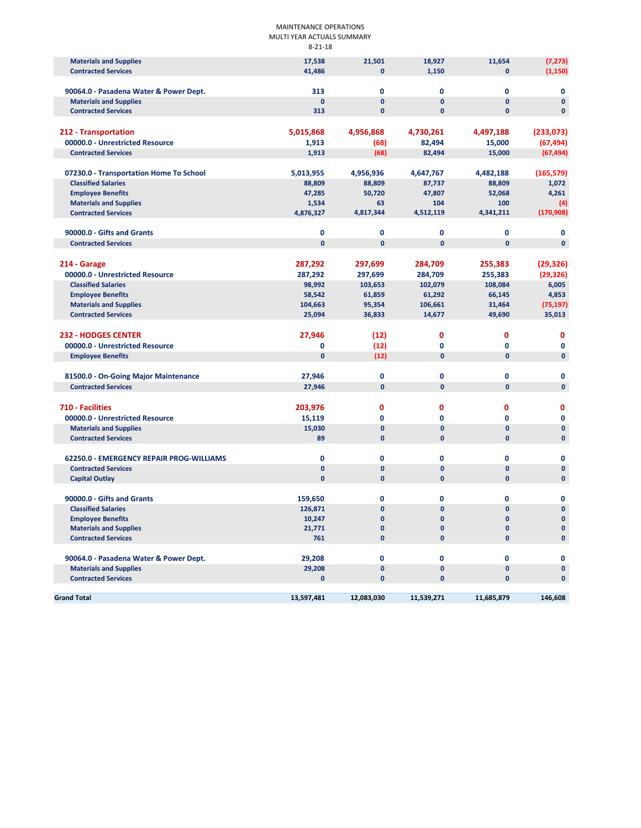#### MAINTENANCE OPERATIONS MULTI YEAR ACTUALS SUMMARY 8‐21‐18

| <b>Materials and Supplies</b>                                      | 17,538           | 21,501       | 18,927       | 11,654       | (7, 273)     |
|--------------------------------------------------------------------|------------------|--------------|--------------|--------------|--------------|
| <b>Contracted Services</b>                                         | 41,486           | $\mathbf{0}$ | 1,150        | $\mathbf{0}$ | (1, 150)     |
|                                                                    |                  |              |              |              |              |
| 90064.0 - Pasadena Water & Power Dept.                             | 313              | $\mathbf 0$  | 0            | $\mathbf 0$  | 0            |
| <b>Materials and Supplies</b>                                      | $\mathbf{0}$     | $\mathbf{0}$ | $\pmb{0}$    | $\mathbf{0}$ | $\mathbf 0$  |
| <b>Contracted Services</b>                                         | 313              | 0            | $\pmb{0}$    | $\mathbf 0$  | $\mathbf 0$  |
|                                                                    |                  |              |              |              |              |
| 212 - Transportation                                               | 5,015,868        | 4,956,868    | 4,730,261    | 4,497,188    | (233,073)    |
| 00000.0 - Unrestricted Resource                                    | 1,913            | (68)         | 82,494       | 15,000       | (67, 494)    |
| <b>Contracted Services</b>                                         | 1,913            | (68)         | 82,494       | 15,000       | (67, 494)    |
| 07230.0 - Transportation Home To School                            | 5,013,955        | 4,956,936    | 4,647,767    | 4,482,188    | (165, 579)   |
| <b>Classified Salaries</b>                                         | 88,809           | 88,809       | 87,737       | 88,809       | 1,072        |
| <b>Employee Benefits</b>                                           | 47,285           | 50,720       | 47,807       | 52,068       | 4,261        |
| <b>Materials and Supplies</b>                                      | 1,534            | 63           | 104          | 100          | (4)          |
| <b>Contracted Services</b>                                         | 4,876,327        | 4,817,344    | 4,512,119    | 4,341,211    | (170, 908)   |
|                                                                    |                  |              |              |              |              |
| 90000.0 - Gifts and Grants                                         | $\mathbf 0$      | 0            | 0            | 0            | 0            |
| <b>Contracted Services</b>                                         | $\mathbf{0}$     | $\mathbf{0}$ | $\mathbf{0}$ | $\mathbf{0}$ | $\mathbf{0}$ |
|                                                                    |                  |              |              |              |              |
| 214 - Garage                                                       | 287,292          | 297,699      | 284,709      | 255,383      | (29, 326)    |
| 00000.0 - Unrestricted Resource                                    | 287,292          | 297,699      | 284,709      | 255,383      | (29, 326)    |
| <b>Classified Salaries</b>                                         | 98,992           | 103,653      | 102,079      | 108,084      | 6,005        |
| <b>Employee Benefits</b>                                           | 58,542           | 61,859       | 61,292       | 66,145       | 4,853        |
| <b>Materials and Supplies</b>                                      | 104,663          | 95,354       | 106,661      | 31,464       | (75, 197)    |
| <b>Contracted Services</b>                                         | 25,094           | 36,833       | 14,677       | 49,690       | 35,013       |
|                                                                    |                  |              |              |              |              |
| <b>232 - HODGES CENTER</b>                                         | 27,946           | (12)         | 0            | 0            | 0            |
| 00000.0 - Unrestricted Resource                                    | 0                | (12)         | 0            | 0            | 0            |
| <b>Employee Benefits</b>                                           | $\mathbf{0}$     | (12)         | $\mathbf{0}$ | $\mathbf{0}$ | $\pmb{0}$    |
|                                                                    |                  | $\mathbf 0$  | 0            | $\mathbf 0$  | $\mathbf 0$  |
| 81500.0 - On-Going Major Maintenance<br><b>Contracted Services</b> | 27,946<br>27,946 | $\mathbf{0}$ | $\pmb{0}$    | $\mathbf{0}$ | $\mathbf 0$  |
|                                                                    |                  |              |              |              |              |
| 710 - Facilities                                                   | 203,976          | 0            | 0            | 0            | 0            |
| 00000.0 - Unrestricted Resource                                    |                  | $\mathbf 0$  | 0            | 0            | 0            |
| <b>Materials and Supplies</b>                                      | 15,119<br>15,030 | $\mathbf{0}$ | $\pmb{0}$    | $\mathbf{0}$ | $\mathbf 0$  |
| <b>Contracted Services</b>                                         | 89               | $\mathbf{0}$ | $\mathbf{0}$ | $\mathbf{0}$ | $\mathbf{0}$ |
|                                                                    |                  |              |              |              |              |
| 62250.0 - EMERGENCY REPAIR PROG-WILLIAMS                           | $\mathbf 0$      | $\mathbf 0$  | 0            | $\mathbf 0$  | 0            |
| <b>Contracted Services</b>                                         | $\mathbf 0$      | $\mathbf{0}$ | 0            | $\mathbf{0}$ | $\mathbf 0$  |
| <b>Capital Outlay</b>                                              | $\mathbf{0}$     | $\mathbf{0}$ | $\mathbf 0$  | $\mathbf{0}$ | $\mathbf{0}$ |
|                                                                    |                  |              |              |              |              |
| 90000.0 - Gifts and Grants                                         | 159,650          | $\mathbf 0$  | 0            | 0            | 0            |
| <b>Classified Salaries</b>                                         | 126,871          | $\mathbf{0}$ | 0            | $\mathbf{0}$ | $\mathbf 0$  |
| <b>Employee Benefits</b>                                           | 10,247           | 0            | $\Omega$     | $\mathbf{0}$ | $\Omega$     |
| <b>Materials and Supplies</b>                                      | 21,771           | 0            | 0            | $\mathbf 0$  | $\mathbf 0$  |
| <b>Contracted Services</b>                                         | 761              | 0            | $\mathbf 0$  | $\mathbf{0}$ | $\mathbf 0$  |
|                                                                    |                  |              |              |              |              |
| 90064.0 - Pasadena Water & Power Dept.                             | 29,208           | $\mathbf 0$  | 0            | 0            | 0            |
| <b>Materials and Supplies</b>                                      | 29,208           | $\mathbf{0}$ | $\pmb{0}$    | $\mathbf 0$  | $\mathbf 0$  |
| <b>Contracted Services</b>                                         | 0                | 0            | 0            | $\mathbf 0$  | 0            |
| <b>Grand Total</b>                                                 | 13,597,481       | 12,083,030   | 11,539,271   | 11,685,879   | 146,608      |
|                                                                    |                  |              |              |              |              |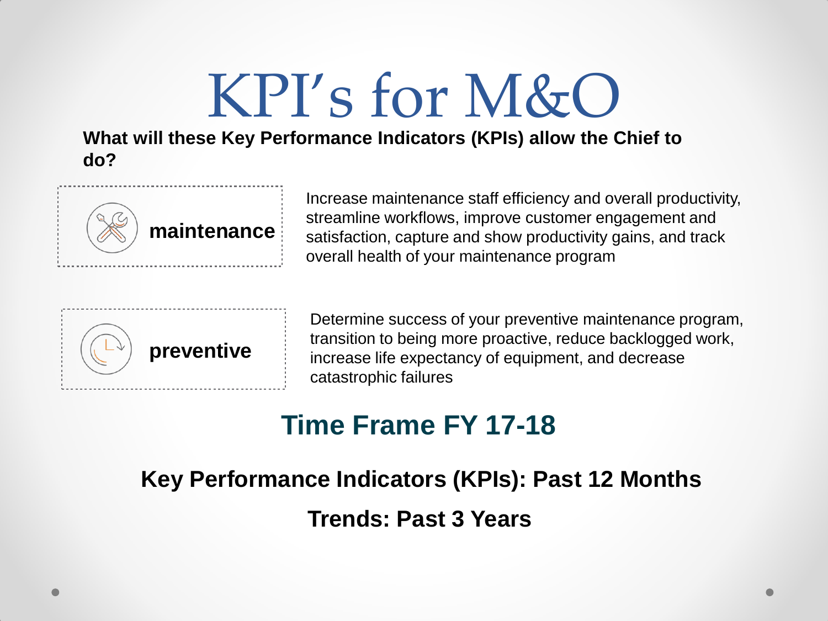## KPI's for M&O

**What will these Key Performance Indicators (KPIs) allow the Chief to do?**



Increase maintenance staff efficiency and overall productivity, streamline workflows, improve customer engagement and satisfaction, capture and show productivity gains, and track overall health of your maintenance program



Determine success of your preventive maintenance program, transition to being more proactive, reduce backlogged work, increase life expectancy of equipment, and decrease catastrophic failures

### **Time Frame FY 17-18**

### **Key Performance Indicators (KPIs): Past 12 Months Trends: Past 3 Years**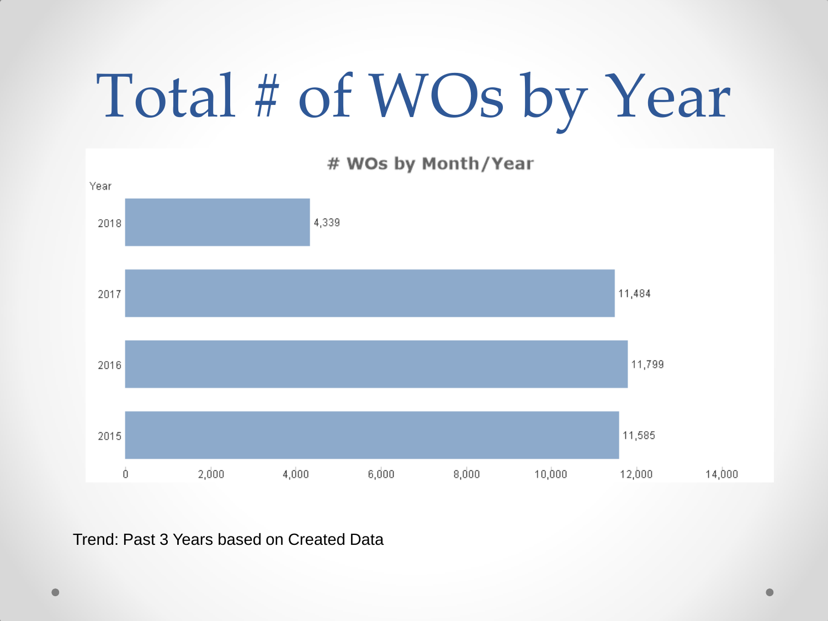# Total # of WOs by Year

# WOs by Month/Year



Trend: Past 3 Years based on Created Data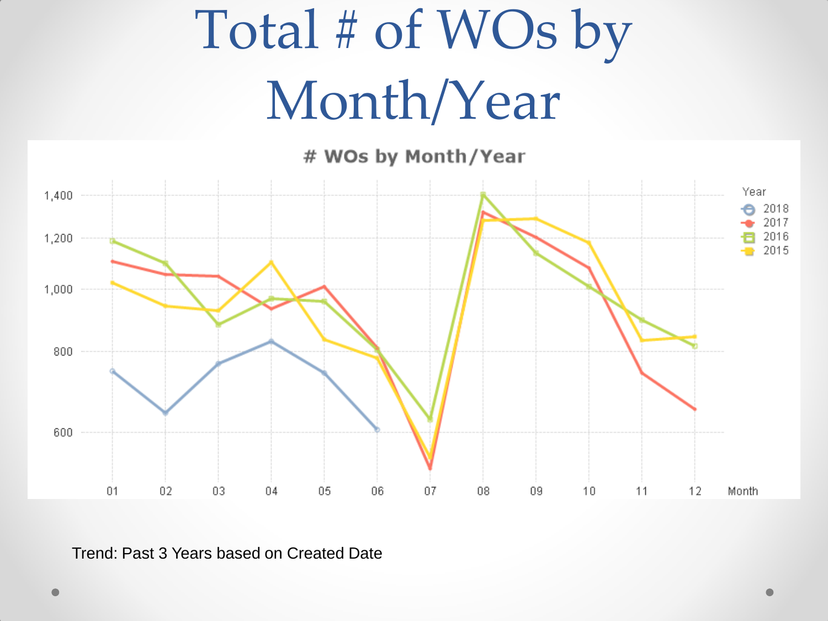## Total # of WOs by Month/Year

# WOs by Month/Year



Trend: Past 3 Years based on Created Date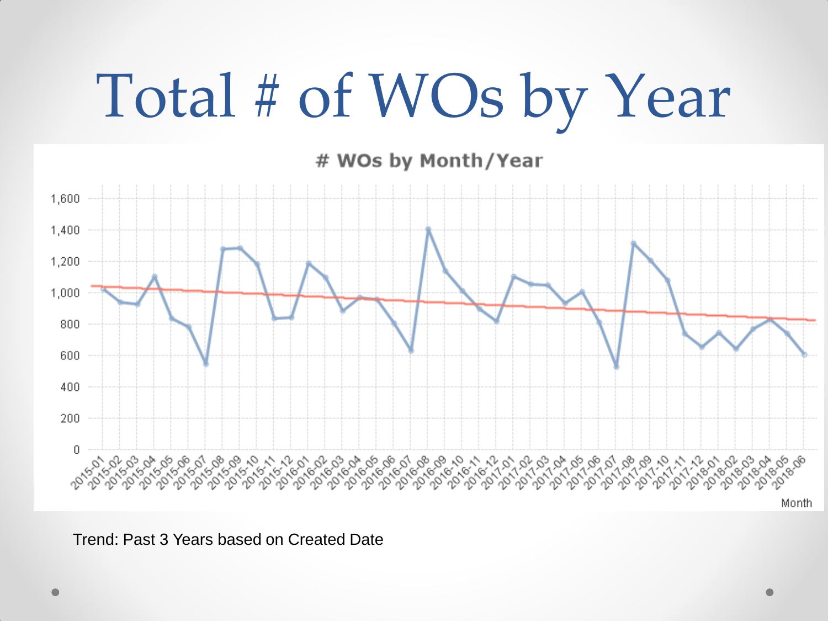# Total # of WOs by Year

# WOs by Month/Year



Trend: Past 3 Years based on Created Date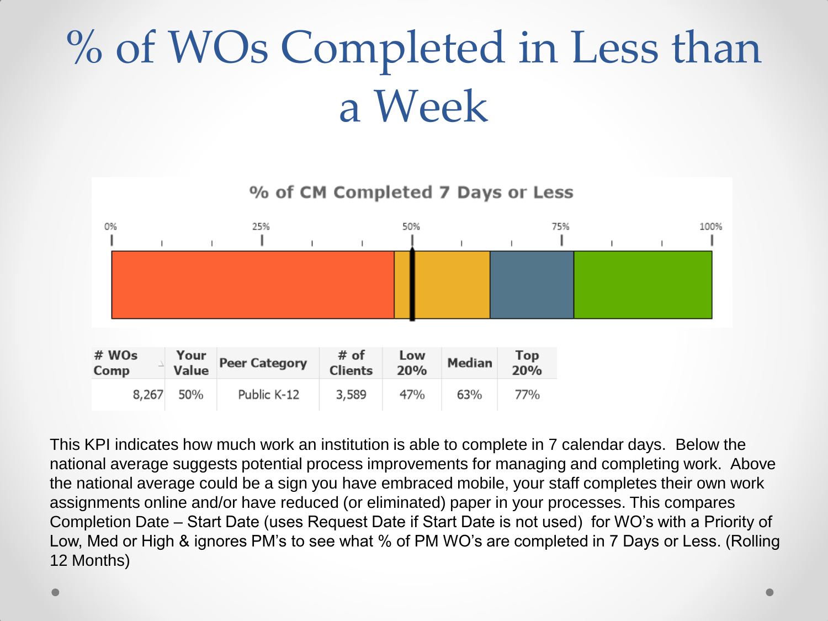## % of WOs Completed in Less than a Week



This KPI indicates how much work an institution is able to complete in 7 calendar days. Below the national average suggests potential process improvements for managing and completing work. Above the national average could be a sign you have embraced mobile, your staff completes their own work assignments online and/or have reduced (or eliminated) paper in your processes. This compares Completion Date – Start Date (uses Request Date if Start Date is not used) for WO's with a Priority of Low, Med or High & ignores PM's to see what % of PM WO's are completed in 7 Days or Less. (Rolling 12 Months)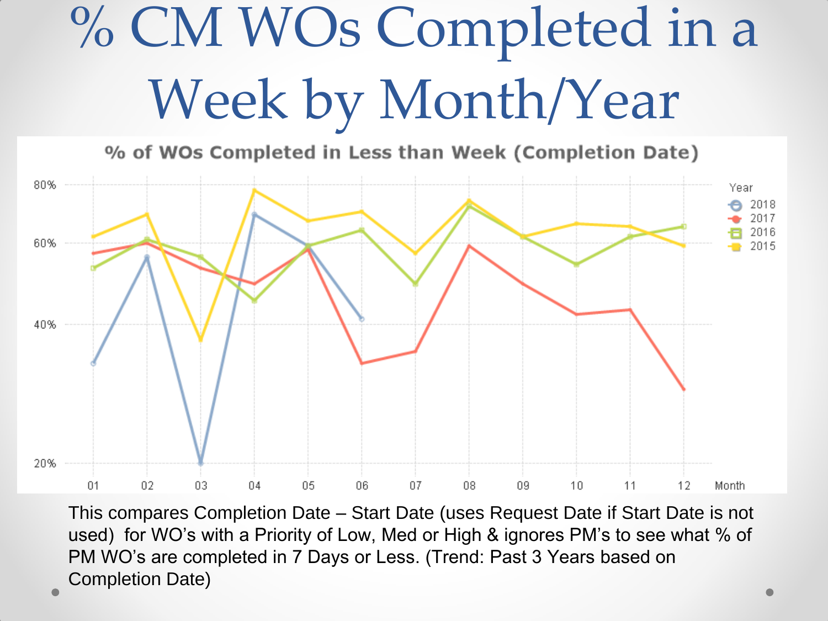## % CM WOs Completed in a Week by Month/Year

% of WOs Completed in Less than Week (Completion Date)



This compares Completion Date – Start Date (uses Request Date if Start Date is not used) for WO's with a Priority of Low, Med or High & ignores PM's to see what % of PM WO's are completed in 7 Days or Less. (Trend: Past 3 Years based on Completion Date)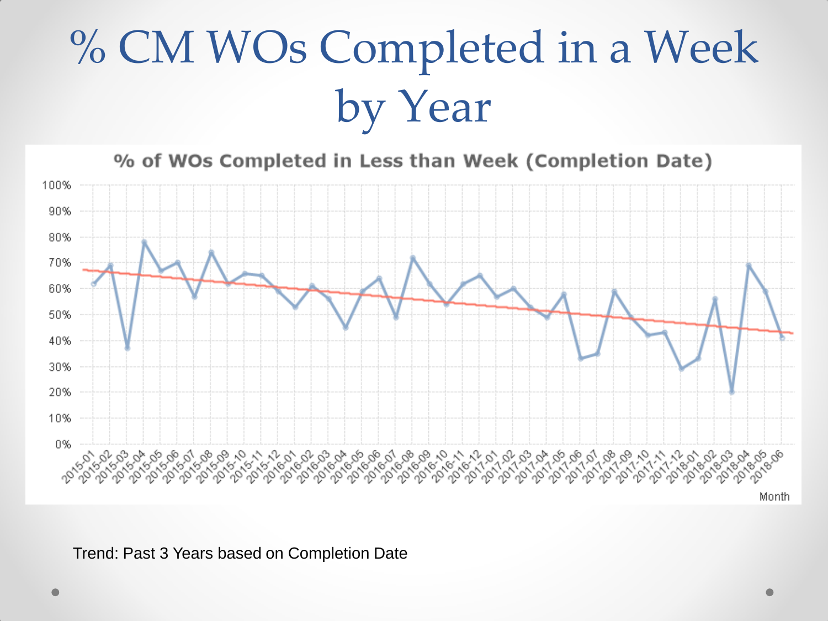## % CM WOs Completed in a Week by Year

% of WOs Completed in Less than Week (Completion Date)



Trend: Past 3 Years based on Completion Date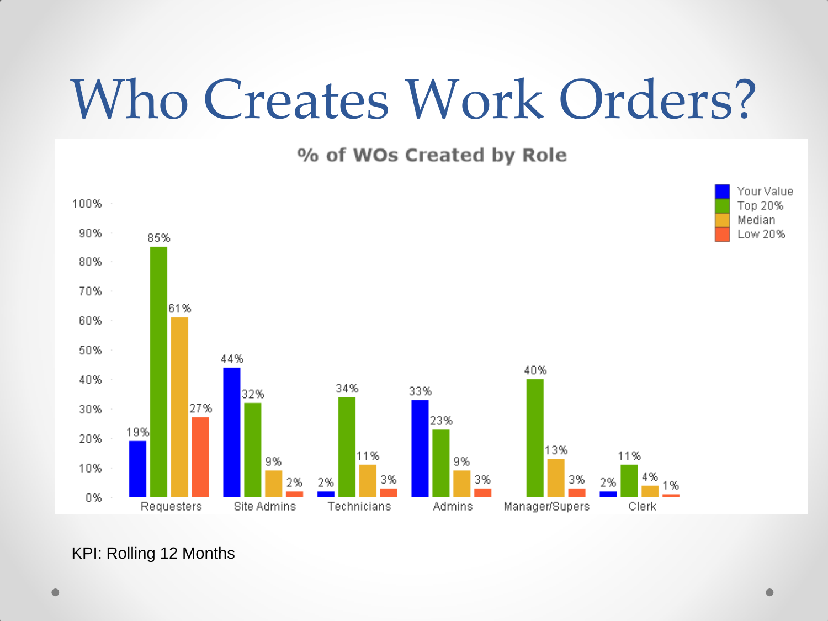## Who Creates Work Orders?

% of WOs Created by Role



KPI: Rolling 12 Months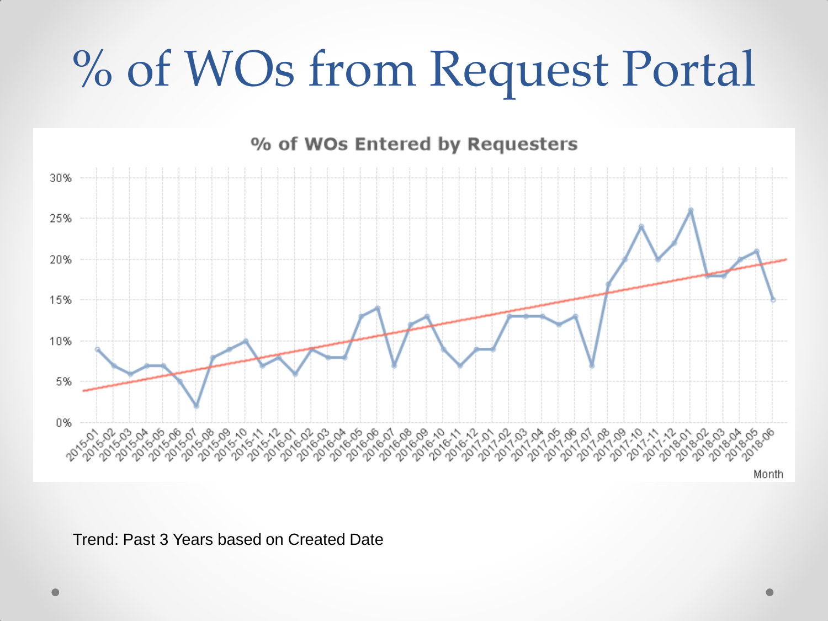## % of WOs from Request Portal



### % of WOs Entered by Requesters

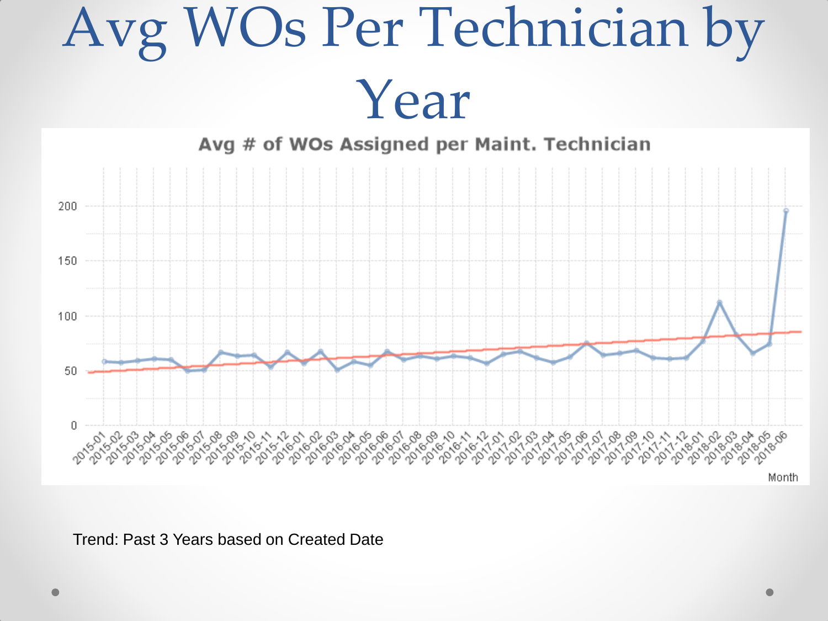

Trend: Past 3 Years based on Created Date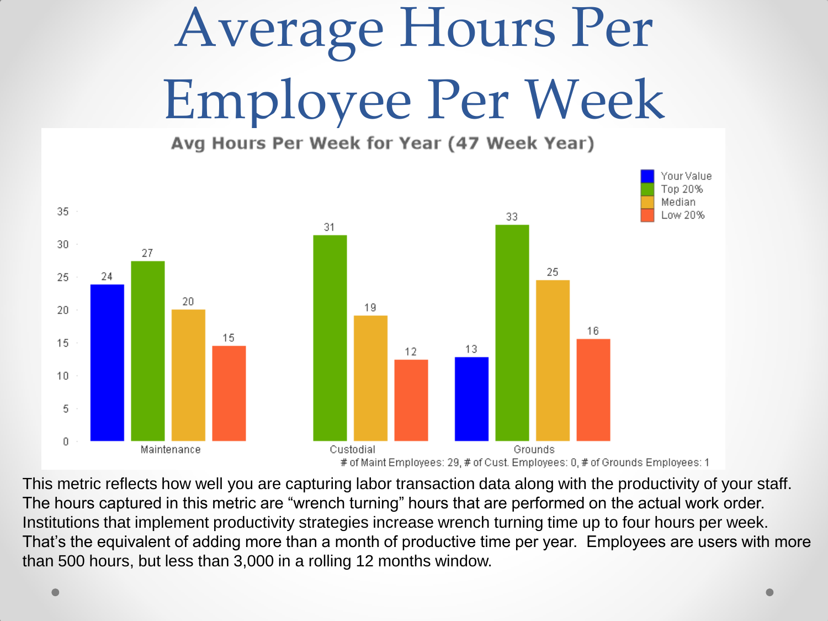# Average Hours Per Employee Per Week



This metric reflects how well you are capturing labor transaction data along with the productivity of your staff. The hours captured in this metric are "wrench turning" hours that are performed on the actual work order. Institutions that implement productivity strategies increase wrench turning time up to four hours per week. That's the equivalent of adding more than a month of productive time per year. Employees are users with more than 500 hours, but less than 3,000 in a rolling 12 months window.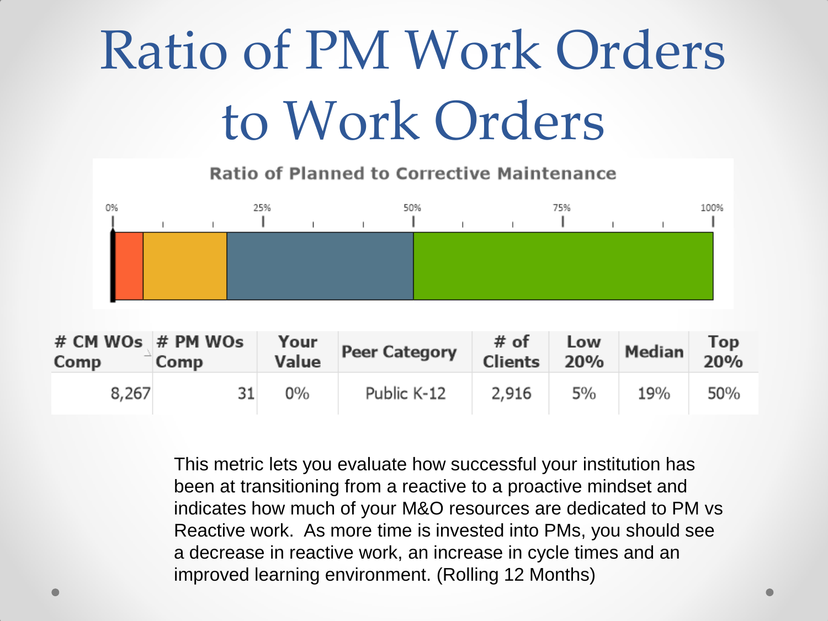## Ratio of PM Work Orders to Work Orders

**Ratio of Planned to Corrective Maintenance** 



| $#$ CM WOs $#$ PM WOs<br>Comp | Comp | Value | your Peer Category | # of<br><b>Clients</b> | 20% | $\begin{array}{ c c }\n\hline\n\text{Low} & \text{Median}\n\end{array}$ | Top<br>20% |
|-------------------------------|------|-------|--------------------|------------------------|-----|-------------------------------------------------------------------------|------------|
| 8,267                         | 31   | $0\%$ | Public K-12        | 2,916                  | 5%  | 19%                                                                     | 50%        |

This metric lets you evaluate how successful your institution has been at transitioning from a reactive to a proactive mindset and indicates how much of your M&O resources are dedicated to PM vs Reactive work. As more time is invested into PMs, you should see a decrease in reactive work, an increase in cycle times and an improved learning environment. (Rolling 12 Months)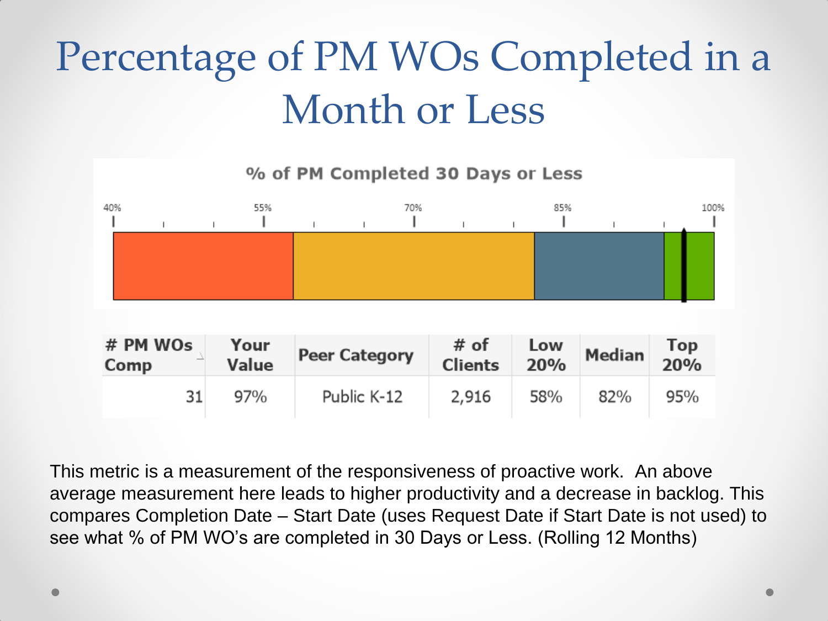### Percentage of PM WOs Completed in a Month or Less



This metric is a measurement of the responsiveness of proactive work. An above average measurement here leads to higher productivity and a decrease in backlog. This compares Completion Date – Start Date (uses Request Date if Start Date is not used) to see what % of PM WO's are completed in 30 Days or Less. (Rolling 12 Months)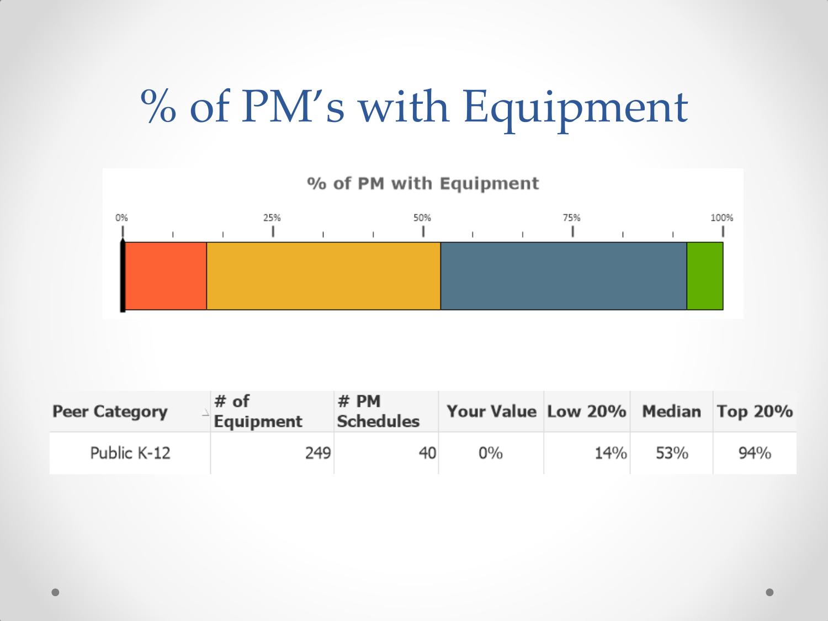### % of PM's with Equipment



| <b>Peer Category</b> | $#$ of<br>Equipment | $#$ PM<br><b>Schedules</b> | Your Value Low 20% Median Top 20% |     |     |     |
|----------------------|---------------------|----------------------------|-----------------------------------|-----|-----|-----|
| Public K-12          | 249                 | 40                         | $0\%$                             | 14% | 53% | 94% |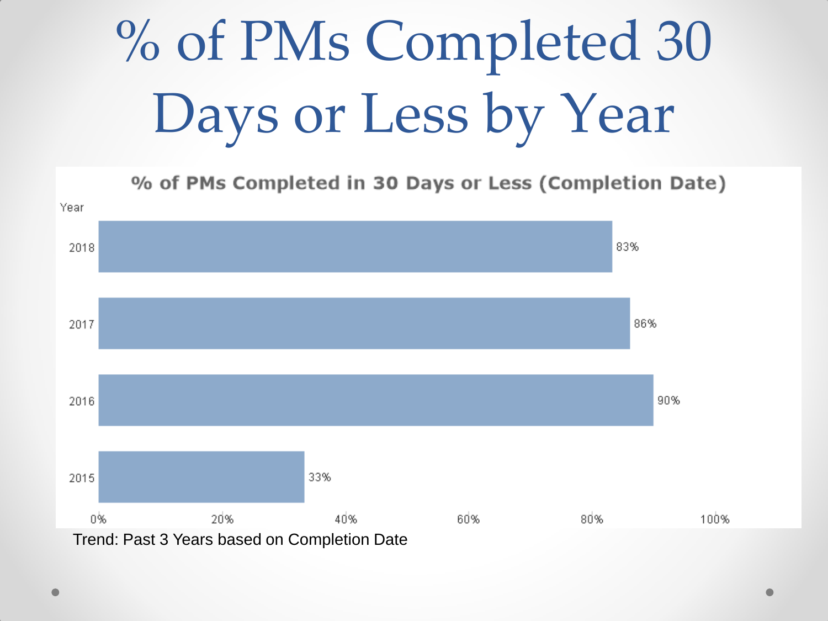# % of PMs Completed 30 Days or Less by Year

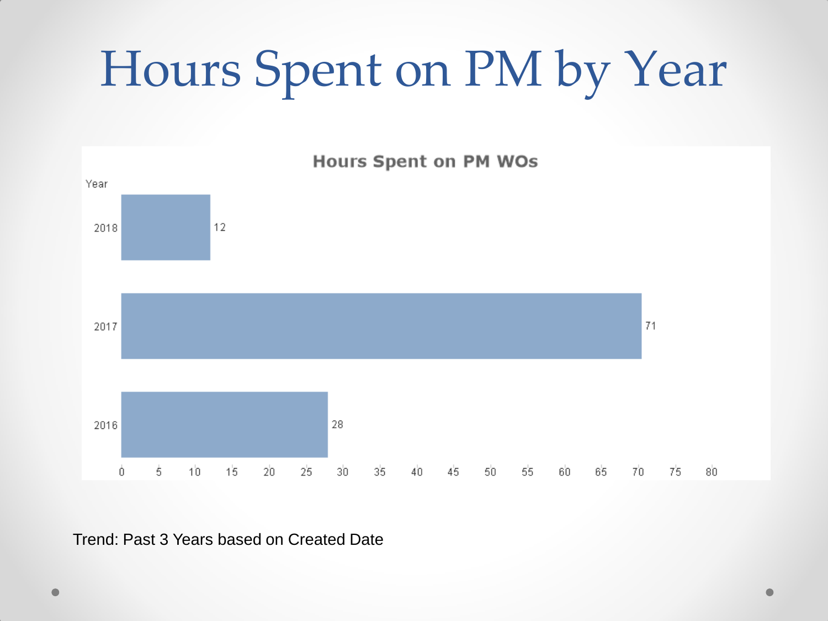## Hours Spent on PM by Year



Trend: Past 3 Years based on Created Date